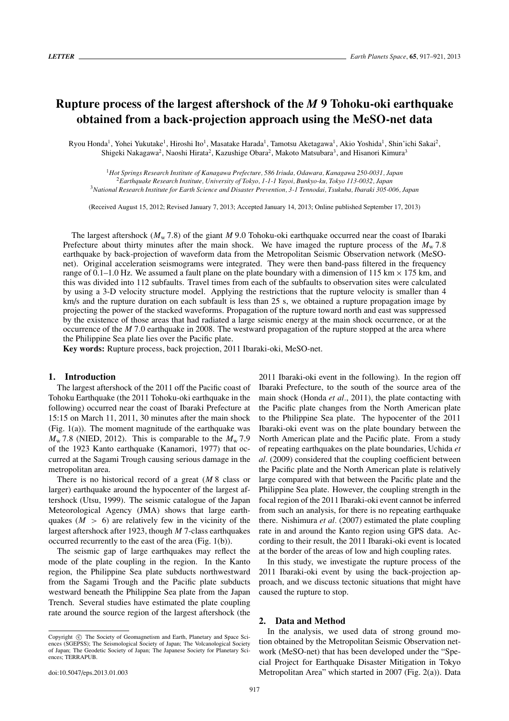# **Rupture process of the largest aftershock of the** *M* **9 Tohoku-oki earthquake obtained from a back-projection approach using the MeSO-net data**

Ryou Honda<sup>1</sup>, Yohei Yukutake<sup>1</sup>, Hiroshi Ito<sup>1</sup>, Masatake Harada<sup>1</sup>, Tamotsu Aketagawa<sup>1</sup>, Akio Yoshida<sup>1</sup>, Shin'ichi Sakai<sup>2</sup>, Shigeki Nakagawa<sup>2</sup>, Naoshi Hirata<sup>2</sup>, Kazushige Obara<sup>2</sup>, Makoto Matsubara<sup>3</sup>, and Hisanori Kimura<sup>3</sup>

<sup>1</sup>*Hot Springs Research Institute of Kanagawa Prefecture, 586 Iriuda, Odawara, Kanagawa 250-0031, Japan* <sup>2</sup>*Earthquake Research Institute, University of Tokyo, 1-1-1 Yayoi, Bunkyo-ku, Tokyo 113-0032, Japan* <sup>3</sup>*National Research Institute for Earth Science and Disaster Prevention, 3-1 Tennodai, Tsukuba, Ibaraki 305-006, Japan*

(Received August 15, 2012; Revised January 7, 2013; Accepted January 14, 2013; Online published September 17, 2013)

The largest aftershock ( $M<sub>w</sub>$  7.8) of the giant *M* 9.0 Tohoku-oki earthquake occurred near the coast of Ibaraki Prefecture about thirty minutes after the main shock. We have imaged the rupture process of the  $M_{\rm w}$  7.8 earthquake by back-projection of waveform data from the Metropolitan Seismic Observation network (MeSOnet). Original acceleration seismograms were integrated. They were then band-pass filtered in the frequency range of 0.1–1.0 Hz. We assumed a fault plane on the plate boundary with a dimension of 115 km  $\times$  175 km, and this was divided into 112 subfaults. Travel times from each of the subfaults to observation sites were calculated by using a 3-D velocity structure model. Applying the restrictions that the rupture velocity is smaller than 4 km/s and the rupture duration on each subfault is less than 25 s, we obtained a rupture propagation image by projecting the power of the stacked waveforms. Propagation of the rupture toward north and east was suppressed by the existence of those areas that had radiated a large seismic energy at the main shock occurrence, or at the occurrence of the *M* 7.0 earthquake in 2008. The westward propagation of the rupture stopped at the area where the Philippine Sea plate lies over the Pacific plate.

**Key words:** Rupture process, back projection, 2011 Ibaraki-oki, MeSO-net.

### **1. Introduction**

The largest aftershock of the 2011 off the Pacific coast of Tohoku Earthquake (the 2011 Tohoku-oki earthquake in the following) occurred near the coast of Ibaraki Prefecture at 15:15 on March 11, 2011, 30 minutes after the main shock (Fig. 1(a)). The moment magnitude of the earthquake was  $M_{\rm w}$  7.8 (NIED, 2012). This is comparable to the  $M_{\rm w}$  7.9 of the 1923 Kanto earthquake (Kanamori, 1977) that occurred at the Sagami Trough causing serious damage in the metropolitan area.

There is no historical record of a great (*M* 8 class or larger) earthquake around the hypocenter of the largest aftershock (Utsu, 1999). The seismic catalogue of the Japan Meteorological Agency (JMA) shows that large earthquakes  $(M > 6)$  are relatively few in the vicinity of the largest aftershock after 1923, though *M* 7-class earthquakes occurred recurrently to the east of the area (Fig. 1(b)).

The seismic gap of large earthquakes may reflect the mode of the plate coupling in the region. In the Kanto region, the Philippine Sea plate subducts northwestward from the Sagami Trough and the Pacific plate subducts westward beneath the Philippine Sea plate from the Japan Trench. Several studies have estimated the plate coupling rate around the source region of the largest aftershock (the

2011 Ibaraki-oki event in the following). In the region off Ibaraki Prefecture, to the south of the source area of the main shock (Honda *et al.*, 2011), the plate contacting with the Pacific plate changes from the North American plate to the Philippine Sea plate. The hypocenter of the 2011 Ibaraki-oki event was on the plate boundary between the North American plate and the Pacific plate. From a study of repeating earthquakes on the plate boundaries, Uchida *et al.* (2009) considered that the coupling coefficient between the Pacific plate and the North American plate is relatively large compared with that between the Pacific plate and the Philippine Sea plate. However, the coupling strength in the focal region of the 2011 Ibaraki-oki event cannot be inferred from such an analysis, for there is no repeating earthquake there. Nishimura *et al.* (2007) estimated the plate coupling rate in and around the Kanto region using GPS data. According to their result, the 2011 Ibaraki-oki event is located at the border of the areas of low and high coupling rates.

In this study, we investigate the rupture process of the 2011 Ibaraki-oki event by using the back-projection approach, and we discuss tectonic situations that might have caused the rupture to stop.

#### **2. Data and Method**

In the analysis, we used data of strong ground motion obtained by the Metropolitan Seismic Observation network (MeSO-net) that has been developed under the "Special Project for Earthquake Disaster Mitigation in Tokyo Metropolitan Area" which started in 2007 (Fig. 2(a)). Data

Copyright  $\odot$  The Society of Geomagnetism and Earth, Planetary and Space Sciences (SGEPSS); The Seismological Society of Japan; The Volcanological Society of Japan; The Geodetic Society of Japan; The Japanese Society for Planetary Sciences; TERRAPUB.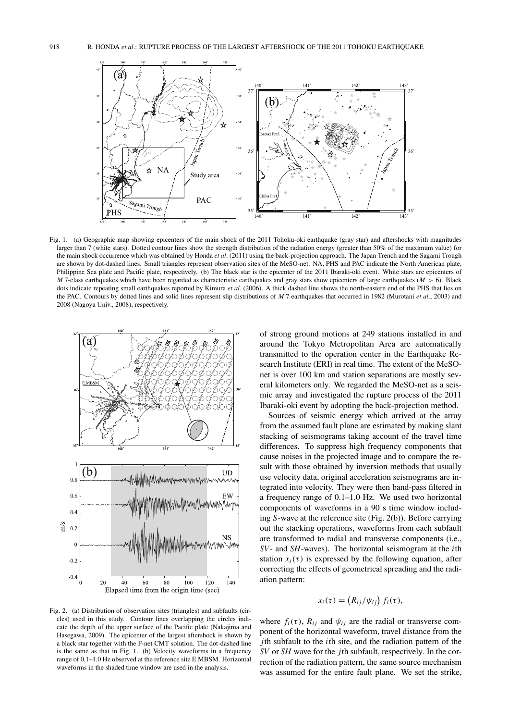

Fig. 1. (a) Geographic map showing epicenters of the main shock of the 2011 Tohoku-oki earthquake (gray star) and aftershocks with magnitudes larger than 7 (white stars). Dotted contour lines show the strength distribution of the radiation energy (greater than 50% of the maximum value) for the main shock occurrence which was obtained by Honda *et al.* (2011) using the back-projection approach. The Japan Trench and the Sagami Trough are shown by dot-dashed lines. Small triangles represent observation sites of the MeSO-net. NA, PHS and PAC indicate the North American plate, Philippine Sea plate and Pacific plate, respectively. (b) The black star is the epicenter of the 2011 Ibaraki-oki event. White stars are epicenters of *M* 7-class earthquakes which have been regarded as characteristic earthquakes and gray stars show epicenters of large earthquakes (*M* > 6). Black dots indicate repeating small earthquakes reported by Kimura *et al.* (2006). A thick dashed line shows the north-eastern end of the PHS that lies on the PAC. Contours by dotted lines and solid lines represent slip distributions of *M* 7 earthquakes that occurred in 1982 (Murotani *et al.*, 2003) and 2008 (Nagoya Univ., 2008), respectively.



of strong ground motions at 249 stations installed in and around the Tokyo Metropolitan Area are automatically transmitted to the operation center in the Earthquake Research Institute (ERI) in real time. The extent of the MeSOnet is over 100 km and station separations are mostly several kilometers only. We regarded the MeSO-net as a seismic array and investigated the rupture process of the 2011 Ibaraki-oki event by adopting the back-projection method.

Sources of seismic energy which arrived at the array from the assumed fault plane are estimated by making slant stacking of seismograms taking account of the travel time differences. To suppress high frequency components that cause noises in the projected image and to compare the result with those obtained by inversion methods that usually use velocity data, original acceleration seismograms are integrated into velocity. They were then band-pass filtered in a frequency range of 0.1–1.0 Hz. We used two horizontal components of waveforms in a 90 s time window including *S*-wave at the reference site (Fig. 2(b)). Before carrying out the stacking operations, waveforms from each subfault are transformed to radial and transverse components (i.e., *SV*- and *SH*-waves). The horizontal seismogram at the *i*th station  $x_i(\tau)$  is expressed by the following equation, after correcting the effects of geometrical spreading and the radiation pattern:

$$
x_i(\tau) = (R_{ij}/\psi_{ij}) f_i(\tau),
$$

Fig. 2. (a) Distribution of observation sites (triangles) and subfaults (circles) used in this study. Contour lines overlapping the circles indicate the depth of the upper surface of the Pacific plate (Nakajima and Hasegawa, 2009). The epicenter of the largest aftershock is shown by a black star together with the F-net CMT solution. The dot-dashed line is the same as that in Fig. 1. (b) Velocity waveforms in a frequency range of 0.1–1.0 Hz observed at the reference site E.MBSM. Horizontal waveforms in the shaded time window are used in the analysis.

where  $f_i(\tau)$ ,  $R_{ij}$  and  $\psi_{ij}$  are the radial or transverse component of the horizontal waveform, travel distance from the *j*th subfault to the *i*th site, and the radiation pattern of the *SV* or *SH* wave for the *j*th subfault, respectively. In the correction of the radiation pattern, the same source mechanism was assumed for the entire fault plane. We set the strike,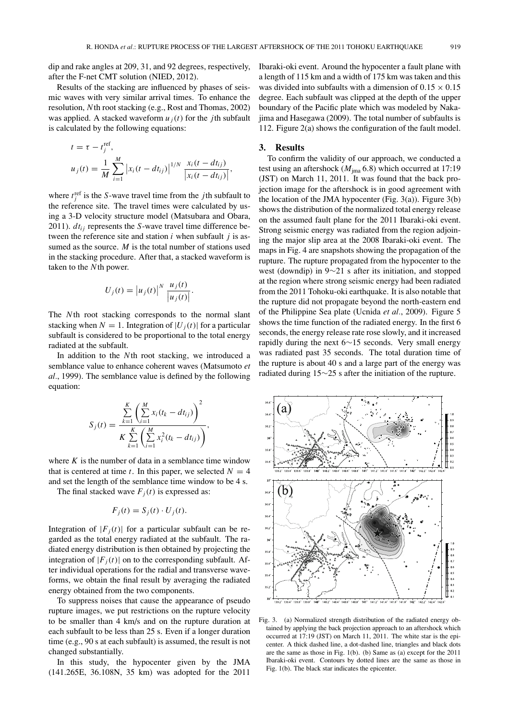dip and rake angles at 209, 31, and 92 degrees, respectively, after the F-net CMT solution (NIED, 2012).

Results of the stacking are influenced by phases of seismic waves with very similar arrival times. To enhance the resolution, *N*th root stacking (e.g., Rost and Thomas, 2002) was applied. A stacked waveform  $u_i(t)$  for the *j*th subfault is calculated by the following equations:

$$
t = \tau - t_j^{\text{ref}},
$$
  

$$
u_j(t) = \frac{1}{M} \sum_{i=1}^{M} |x_i(t - dt_{ij})|^{1/N} \frac{x_i(t - dt_{ij})}{|x_i(t - dt_{ij})|},
$$

where  $t_j^{\text{ref}}$  is the *S*-wave travel time from the *j*th subfault to the reference site. The travel times were calculated by using a 3-D velocity structure model (Matsubara and Obara, 2011).  $dt_{ij}$  represents the *S*-wave travel time difference between the reference site and station *i* when subfault *j* is assumed as the source. *M* is the total number of stations used in the stacking procedure. After that, a stacked waveform is taken to the *N*th power.

$$
U_j(t) = \left| u_j(t) \right|^N \frac{u_j(t)}{\left| u_j(t) \right|}.
$$

The *N*th root stacking corresponds to the normal slant stacking when  $N = 1$ . Integration of  $|U_i(t)|$  for a particular subfault is considered to be proportional to the total energy radiated at the subfault.

In addition to the *N*th root stacking, we introduced a semblance value to enhance coherent waves (Matsumoto *et al.*, 1999). The semblance value is defined by the following equation:

$$
S_j(t) = \frac{\sum_{k=1}^{K} \left( \sum_{i=1}^{M} x_i (t_k - dt_{ij}) \right)^2}{K \sum_{k=1}^{K} \left( \sum_{i=1}^{M} x_i^2 (t_k - dt_{ij}) \right)},
$$

where  $K$  is the number of data in a semblance time window that is centered at time *t*. In this paper, we selected  $N = 4$ and set the length of the semblance time window to be 4 s.

The final stacked wave  $F_i(t)$  is expressed as:

$$
F_j(t) = S_j(t) \cdot U_j(t).
$$

Integration of  $|F_j(t)|$  for a particular subfault can be regarded as the total energy radiated at the subfault. The radiated energy distribution is then obtained by projecting the integration of  $|F_i(t)|$  on to the corresponding subfault. After individual operations for the radial and transverse waveforms, we obtain the final result by averaging the radiated energy obtained from the two components.

To suppress noises that cause the appearance of pseudo rupture images, we put restrictions on the rupture velocity to be smaller than 4 km/s and on the rupture duration at each subfault to be less than 25 s. Even if a longer duration time (e.g., 90 s at each subfault) is assumed, the result is not changed substantially.

In this study, the hypocenter given by the JMA (141.265E, 36.108N, 35 km) was adopted for the 2011 Ibaraki-oki event. Around the hypocenter a fault plane with a length of 115 km and a width of 175 km was taken and this was divided into subfaults with a dimension of  $0.15 \times 0.15$ degree. Each subfault was clipped at the depth of the upper boundary of the Pacific plate which was modeled by Nakajima and Hasegawa (2009). The total number of subfaults is 112. Figure 2(a) shows the configuration of the fault model.

#### **3. Results**

To confirm the validity of our approach, we conducted a test using an aftershock (*M*jma 6.8) which occurred at 17:19 (JST) on March 11, 2011. It was found that the back projection image for the aftershock is in good agreement with the location of the JMA hypocenter (Fig.  $3(a)$ ). Figure  $3(b)$ shows the distribution of the normalized total energy release on the assumed fault plane for the 2011 Ibaraki-oki event. Strong seismic energy was radiated from the region adjoining the major slip area at the 2008 Ibaraki-oki event. The maps in Fig. 4 are snapshots showing the propagation of the rupture. The rupture propagated from the hypocenter to the west (downdip) in 9∼21 s after its initiation, and stopped at the region where strong seismic energy had been radiated from the 2011 Tohoku-oki earthquake. It is also notable that the rupture did not propagate beyond the north-eastern end of the Philippine Sea plate (Ucnida *et al.*, 2009). Figure 5 shows the time function of the radiated energy. In the first 6 seconds, the energy release rate rose slowly, and it increased rapidly during the next 6∼15 seconds. Very small energy was radiated past 35 seconds. The total duration time of the rupture is about 40 s and a large part of the energy was radiated during 15∼25 s after the initiation of the rupture.



Fig. 3. (a) Normalized strength distribution of the radiated energy obtained by applying the back projection approach to an aftershock which occurred at 17:19 (JST) on March 11, 2011. The white star is the epicenter. A thick dashed line, a dot-dashed line, triangles and black dots are the same as those in Fig. 1(b). (b) Same as (a) except for the 2011 Ibaraki-oki event. Contours by dotted lines are the same as those in Fig. 1(b). The black star indicates the epicenter.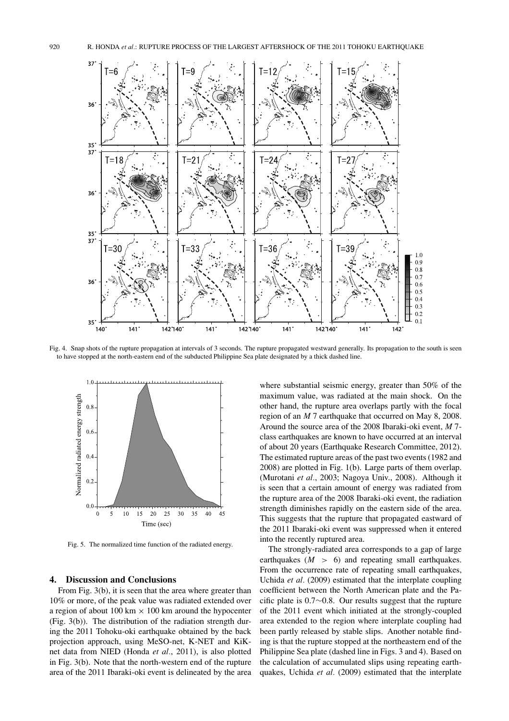

Fig. 4. Snap shots of the rupture propagation at intervals of 3 seconds. The rupture propagated westward generally. Its propagation to the south is seen to have stopped at the north-eastern end of the subducted Philippine Sea plate designated by a thick dashed line.



Fig. 5. The normalized time function of the radiated energy.

## **4. Discussion and Conclusions**

From Fig. 3(b), it is seen that the area where greater than 10% or more, of the peak value was radiated extended over a region of about 100 km  $\times$  100 km around the hypocenter (Fig. 3(b)). The distribution of the radiation strength during the 2011 Tohoku-oki earthquake obtained by the back projection approach, using MeSO-net, K-NET and KiKnet data from NIED (Honda *et al.*, 2011), is also plotted in Fig. 3(b). Note that the north-western end of the rupture area of the 2011 Ibaraki-oki event is delineated by the area

where substantial seismic energy, greater than 50% of the maximum value, was radiated at the main shock. On the other hand, the rupture area overlaps partly with the focal region of an *M* 7 earthquake that occurred on May 8, 2008. Around the source area of the 2008 Ibaraki-oki event, *M* 7 class earthquakes are known to have occurred at an interval of about 20 years (Earthquake Research Committee, 2012). The estimated rupture areas of the past two events (1982 and 2008) are plotted in Fig. 1(b). Large parts of them overlap. (Murotani *et al.*, 2003; Nagoya Univ., 2008). Although it is seen that a certain amount of energy was radiated from the rupture area of the 2008 Ibaraki-oki event, the radiation strength diminishes rapidly on the eastern side of the area. This suggests that the rupture that propagated eastward of the 2011 Ibaraki-oki event was suppressed when it entered into the recently ruptured area.

The strongly-radiated area corresponds to a gap of large earthquakes  $(M > 6)$  and repeating small earthquakes. From the occurrence rate of repeating small earthquakes, Uchida *et al.* (2009) estimated that the interplate coupling coefficient between the North American plate and the Pacific plate is 0.7∼0.8. Our results suggest that the rupture of the 2011 event which initiated at the strongly-coupled area extended to the region where interplate coupling had been partly released by stable slips. Another notable finding is that the rupture stopped at the northeastern end of the Philippine Sea plate (dashed line in Figs. 3 and 4). Based on the calculation of accumulated slips using repeating earthquakes, Uchida *et al.* (2009) estimated that the interplate